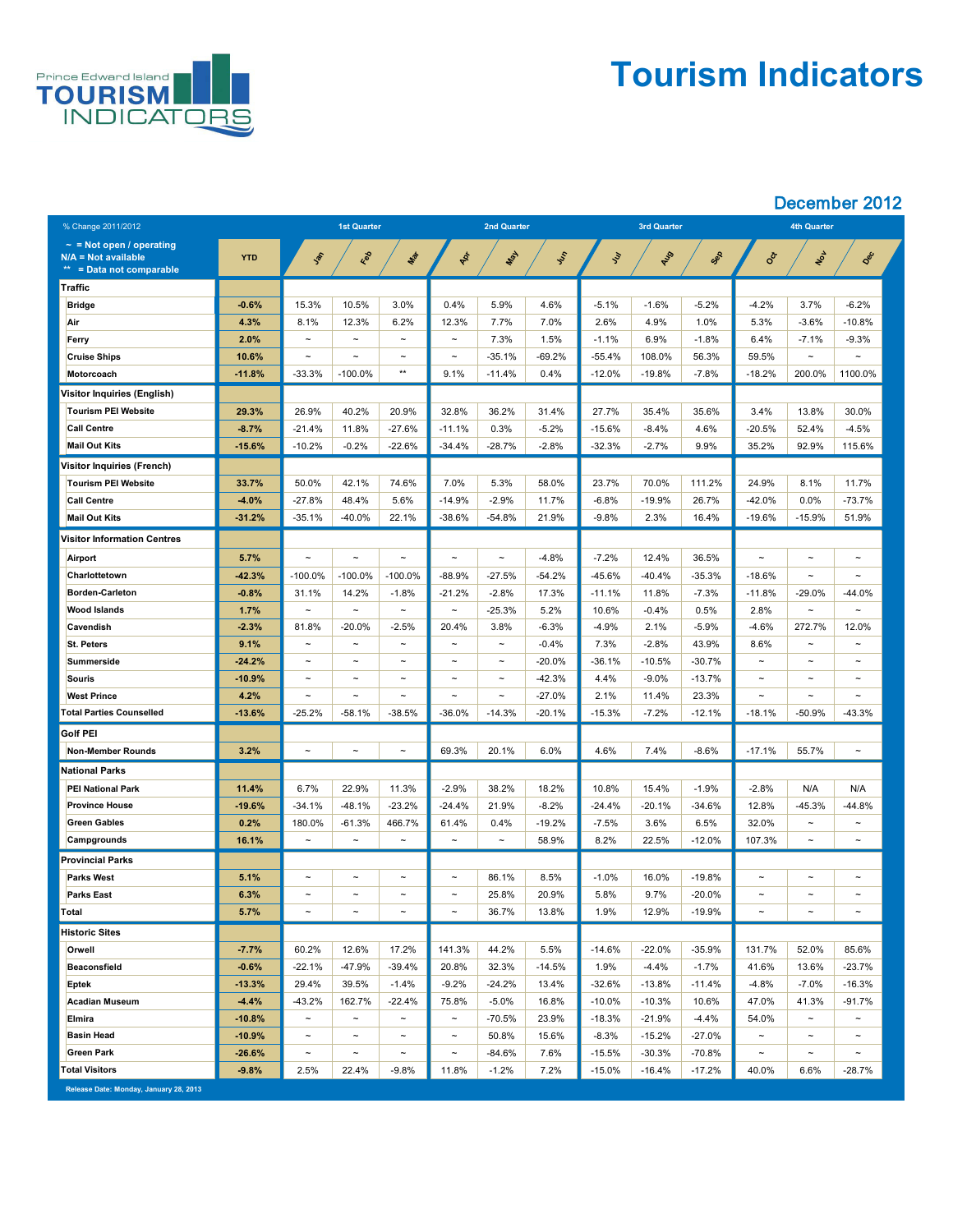

## **Tourism Indicators**

### December 2012

| % Change 2011/2012                                                                 |            | <b>1st Quarter</b>    |                       |                       | <b>2nd Quarter</b>    |                       |               |               | <b>3rd Quarter</b> |           | <b>4th Quarter</b>    |                       |                       |
|------------------------------------------------------------------------------------|------------|-----------------------|-----------------------|-----------------------|-----------------------|-----------------------|---------------|---------------|--------------------|-----------|-----------------------|-----------------------|-----------------------|
| $\sim$ = Not open / operating<br>$N/A = Not available$<br>** = Data not comparable | <b>YTD</b> | Jan                   | Red                   | Mar                   | PRI                   | <b>LASH</b>           | <b>System</b> | $\mathcal{L}$ | AUS                | Sep       | SOL                   | NON                   | Dec                   |
| Traffic                                                                            |            |                       |                       |                       |                       |                       |               |               |                    |           |                       |                       |                       |
| <b>Bridge</b>                                                                      | $-0.6%$    | 15.3%                 | 10.5%                 | 3.0%                  | 0.4%                  | 5.9%                  | 4.6%          | $-5.1%$       | $-1.6%$            | $-5.2%$   | $-4.2%$               | 3.7%                  | $-6.2%$               |
| Air                                                                                | 4.3%       | 8.1%                  | 12.3%                 | 6.2%                  | 12.3%                 | 7.7%                  | 7.0%          | 2.6%          | 4.9%               | 1.0%      | 5.3%                  | $-3.6%$               | $-10.8%$              |
| <b>Ferry</b>                                                                       | 2.0%       | $\tilde{\phantom{a}}$ | $\tilde{\phantom{m}}$ | $\sim$                | $\tilde{\phantom{a}}$ | 7.3%                  | 1.5%          | $-1.1%$       | 6.9%               | $-1.8%$   | 6.4%                  | $-7.1%$               | $-9.3%$               |
| <b>Cruise Ships</b>                                                                | 10.6%      | $\tilde{\phantom{a}}$ | $\tilde{\phantom{a}}$ | $\tilde{\phantom{m}}$ | $\tilde{\phantom{a}}$ | $-35.1%$              | $-69.2%$      | $-55.4%$      | 108.0%             | 56.3%     | 59.5%                 | $\tilde{\phantom{m}}$ | $\sim$                |
| <b>Motorcoach</b>                                                                  | $-11.8%$   | $-33.3%$              | $-100.0\%$            | $***$                 | 9.1%                  | $-11.4%$              | 0.4%          | $-12.0\%$     | $-19.8%$           | $-7.8%$   | $-18.2%$              | 200.0%                | 1100.0%               |
| Visitor Inquiries (English)                                                        |            |                       |                       |                       |                       |                       |               |               |                    |           |                       |                       |                       |
| <b>Tourism PEI Website</b>                                                         | 29.3%      | 26.9%                 | 40.2%                 | 20.9%                 | 32.8%                 | 36.2%                 | 31.4%         | 27.7%         | 35.4%              | 35.6%     | 3.4%                  | 13.8%                 | 30.0%                 |
| <b>Call Centre</b>                                                                 | $-8.7%$    | $-21.4%$              | 11.8%                 | $-27.6%$              | $-11.1%$              | 0.3%                  | $-5.2%$       | $-15.6%$      | $-8.4%$            | 4.6%      | $-20.5%$              | 52.4%                 | $-4.5%$               |
| <b>Mail Out Kits</b>                                                               | $-15.6%$   | $-10.2%$              | $-0.2%$               | $-22.6%$              | $-34.4%$              | $-28.7%$              | $-2.8%$       | $-32.3%$      | $-2.7\%$           | 9.9%      | 35.2%                 | 92.9%                 | 115.6%                |
| <b>Visitor Inquiries (French)</b>                                                  |            |                       |                       |                       |                       |                       |               |               |                    |           |                       |                       |                       |
| <b>Tourism PEI Website</b>                                                         | 33.7%      | 50.0%                 | 42.1%                 | 74.6%                 | 7.0%                  | 5.3%                  | 58.0%         | 23.7%         | 70.0%              | 111.2%    | 24.9%                 | 8.1%                  | 11.7%                 |
| <b>Call Centre</b>                                                                 | $-4.0%$    | $-27.8%$              | 48.4%                 | 5.6%                  | $-14.9%$              | $-2.9%$               | 11.7%         | $-6.8%$       | $-19.9%$           | 26.7%     | $-42.0\%$             | 0.0%                  | $-73.7%$              |
| <b>Mail Out Kits</b>                                                               | $-31.2%$   | $-35.1%$              | $-40.0%$              | 22.1%                 | $-38.6%$              | $-54.8%$              | 21.9%         | $-9.8%$       | 2.3%               | 16.4%     | $-19.6%$              | $-15.9%$              | 51.9%                 |
| <b>Visitor Information Centres</b>                                                 |            |                       |                       |                       |                       |                       |               |               |                    |           |                       |                       |                       |
| <b>Airport</b>                                                                     | 5.7%       | $\tilde{\phantom{a}}$ | $\tilde{\phantom{a}}$ | $\tilde{\phantom{m}}$ | $\tilde{\phantom{a}}$ | $\tilde{\phantom{a}}$ | $-4.8%$       | $-7.2%$       | 12.4%              | 36.5%     | $\tilde{\phantom{a}}$ | $\sim$                | $\tilde{\phantom{a}}$ |
| Charlottetown                                                                      | $-42.3%$   | $-100.0\%$            | $-100.0\%$            | $-100.0\%$            | $-88.9%$              | $-27.5%$              | $-54.2%$      | $-45.6\%$     | $-40.4%$           | $-35.3%$  | $-18.6%$              | $\tilde{\phantom{m}}$ | $\sim$                |
| <b>Borden-Carleton</b>                                                             | $-0.8%$    | 31.1%                 | 14.2%                 | $-1.8%$               | $-21.2%$              | $-2.8%$               | 17.3%         | $-11.1%$      | 11.8%              | $-7.3%$   | $-11.8%$              | $-29.0%$              | $-44.0%$              |
| <b>Wood Islands</b>                                                                | 1.7%       | $\tilde{\phantom{a}}$ | $\tilde{\phantom{a}}$ | $\tilde{\phantom{m}}$ | $\tilde{\phantom{a}}$ | $-25.3%$              | 5.2%          | 10.6%         | $-0.4%$            | 0.5%      | 2.8%                  | $\tilde{\phantom{m}}$ | $\sim$                |
| <b>Cavendish</b>                                                                   | $-2.3%$    | 81.8%                 | $-20.0\%$             | $-2.5%$               | 20.4%                 | 3.8%                  | $-6.3%$       | $-4.9\%$      | 2.1%               | $-5.9%$   | $-4.6%$               | 272.7%                | 12.0%                 |
| <b>St. Peters</b>                                                                  | 9.1%       | $\tilde{\phantom{m}}$ | $\thicksim$           | $\sim$                | $\tilde{\phantom{a}}$ | $\thicksim$           | $-0.4%$       | 7.3%          | $-2.8%$            | 43.9%     | 8.6%                  | $\sim$                | $\sim$                |
| Summerside                                                                         | $-24.2%$   | $\tilde{\phantom{a}}$ | $\tilde{\phantom{m}}$ | $\tilde{\phantom{m}}$ | $\tilde{\phantom{a}}$ | $\thicksim$           | $-20.0\%$     | $-36.1%$      | $-10.5%$           | $-30.7%$  | $\tilde{\phantom{a}}$ | $\tilde{\phantom{m}}$ | $\tilde{\phantom{a}}$ |
| <b>Souris</b>                                                                      | $-10.9%$   | $\sim$                | $\thicksim$           | $\tilde{\phantom{m}}$ | $\tilde{}$            | $\thicksim$           | $-42.3%$      | 4.4%          | $-9.0\%$           | $-13.7%$  | $\tilde{\phantom{m}}$ | $\tilde{\phantom{m}}$ | $\tilde{\phantom{a}}$ |
| <b>West Prince</b>                                                                 | 4.2%       | $\sim$                | $\thicksim$           | $\sim$                | $\tilde{\phantom{m}}$ | $\thicksim$           | $-27.0%$      | 2.1%          | 11.4%              | 23.3%     | $\tilde{\phantom{a}}$ | $\tilde{\phantom{m}}$ | $\sim$                |
| <b>Total Parties Counselled</b>                                                    | $-13.6%$   | $-25.2%$              | $-58.1%$              | $-38.5%$              | $-36.0\%$             | $-14.3%$              | $-20.1%$      | $-15.3%$      | $-7.2\%$           | $-12.1%$  | $-18.1%$              | $-50.9%$              | $-43.3%$              |
| <b>Golf PEI</b>                                                                    |            |                       |                       |                       |                       |                       |               |               |                    |           |                       |                       |                       |
| <b>Non-Member Rounds</b>                                                           | 3.2%       | $\tilde{\phantom{a}}$ | $\sim$                | $\sim$                | 69.3%                 | 20.1%                 | 6.0%          | 4.6%          | 7.4%               | $-8.6%$   | $-17.1%$              | 55.7%                 | $\tilde{\phantom{a}}$ |
| <b>National Parks</b>                                                              |            |                       |                       |                       |                       |                       |               |               |                    |           |                       |                       |                       |
| <b>PEI National Park</b>                                                           | 11.4%      | 6.7%                  | 22.9%                 | 11.3%                 | $-2.9%$               | 38.2%                 | 18.2%         | 10.8%         | 15.4%              | $-1.9%$   | $-2.8%$               | N/A                   | N/A                   |
| <b>Province House</b>                                                              | $-19.6%$   | $-34.1%$              | $-48.1%$              | $-23.2%$              | $-24.4%$              | 21.9%                 | $-8.2%$       | $-24.4%$      | $-20.1%$           | $-34.6%$  | 12.8%                 | $-45.3%$              | $-44.8%$              |
| <b>Green Gables</b>                                                                | 0.2%       | 180.0%                | $-61.3%$              | 466.7%                | 61.4%                 | 0.4%                  | $-19.2%$      | $-7.5%$       | 3.6%               | 6.5%      | 32.0%                 | $\tilde{\phantom{m}}$ | $\tilde{}$            |
| <b>Campgrounds</b>                                                                 | 16.1%      | $\sim$                | $\sim$                | $\sim$                | $\tilde{\phantom{m}}$ | $\thicksim$           | 58.9%         | 8.2%          | 22.5%              | $-12.0%$  | 107.3%                | $\tilde{\phantom{m}}$ | $\sim$                |
| <b>Provincial Parks</b>                                                            |            |                       |                       |                       |                       |                       |               |               |                    |           |                       |                       |                       |
| <b>Parks West</b>                                                                  | 5.1%       | $\tilde{\phantom{a}}$ | $\tilde{\phantom{m}}$ | $\sim$                | $\tilde{\phantom{m}}$ | 86.1%                 | 8.5%          | $-1.0%$       | 16.0%              | $-19.8%$  | $\tilde{\phantom{m}}$ | $\tilde{\phantom{m}}$ | $\tilde{\phantom{a}}$ |
| <b>Parks East</b>                                                                  | 6.3%       | $\tilde{\phantom{a}}$ | $\thicksim$           | $\tilde{\phantom{m}}$ | $\tilde{\phantom{a}}$ | 25.8%                 | 20.9%         | 5.8%          | 9.7%               | $-20.0\%$ | $\tilde{\phantom{a}}$ | $\tilde{\phantom{m}}$ | $\tilde{\phantom{a}}$ |
| Total                                                                              | 5.7%       | $\sim$                | $\tilde{\phantom{m}}$ | $\thicksim$           | $\tilde{\phantom{m}}$ | 36.7%                 | 13.8%         | 1.9%          | 12.9%              | $-19.9%$  | $\tilde{\phantom{m}}$ | $\tilde{\phantom{m}}$ | $\tilde{\phantom{a}}$ |
| <b>Historic Sites</b>                                                              |            |                       |                       |                       |                       |                       |               |               |                    |           |                       |                       |                       |
| <b>Orwell</b>                                                                      | $-7.7%$    | 60.2%                 | 12.6%                 | 17.2%                 | 141.3%                | 44.2%                 | 5.5%          | $-14.6%$      | $-22.0%$           | $-35.9%$  | 131.7%                | 52.0%                 | 85.6%                 |
| <b>Beaconsfield</b>                                                                | $-0.6%$    | $-22.1%$              | $-47.9%$              | $-39.4%$              | 20.8%                 | 32.3%                 | $-14.5%$      | 1.9%          | $-4.4%$            | $-1.7%$   | 41.6%                 | 13.6%                 | $-23.7%$              |
| <b>Eptek</b>                                                                       | $-13.3%$   | 29.4%                 | 39.5%                 | $-1.4%$               | $-9.2\%$              | $-24.2%$              | 13.4%         | $-32.6%$      | $-13.8%$           | $-11.4%$  | $-4.8%$               | $-7.0\%$              | $-16.3%$              |
| <b>Acadian Museum</b>                                                              | $-4.4%$    | $-43.2%$              | 162.7%                | $-22.4%$              | 75.8%                 | $-5.0\%$              | 16.8%         | $-10.0\%$     | $-10.3%$           | 10.6%     | 47.0%                 | 41.3%                 | $-91.7%$              |
| <b>Elmira</b>                                                                      | $-10.8%$   | $\tilde{\phantom{a}}$ | $\thicksim$           | $\sim$                | $\thicksim$           | $-70.5%$              | 23.9%         | $-18.3%$      | $-21.9%$           | $-4.4%$   | 54.0%                 | $\sim$                | $\tilde{\phantom{a}}$ |
| <b>Basin Head</b>                                                                  | $-10.9%$   | $\sim$                | $\thicksim$           | $\sim$                | $\thicksim$           | 50.8%                 | 15.6%         | $-8.3%$       | $-15.2%$           | $-27.0%$  | $\sim$                | $\sim$                | $\sim$                |
| <b>Green Park</b>                                                                  | $-26.6%$   | $\sim$                | $\thicksim$           | $\sim$                | $\tilde{\phantom{a}}$ | $-84.6%$              | 7.6%          | $-15.5%$      | $-30.3%$           | $-70.8%$  | $\sim$                | $\tilde{\phantom{m}}$ | $\tilde{\phantom{a}}$ |
| <b>Total Visitors</b>                                                              | $-9.8%$    | 2.5%                  | 22.4%                 | $-9.8%$               | 11.8%                 | $-1.2%$               | 7.2%          | $-15.0\%$     | $-16.4%$           | $-17.2%$  | 40.0%                 | 6.6%                  | $-28.7%$              |

**Release Date: Monday, January 28, 2013**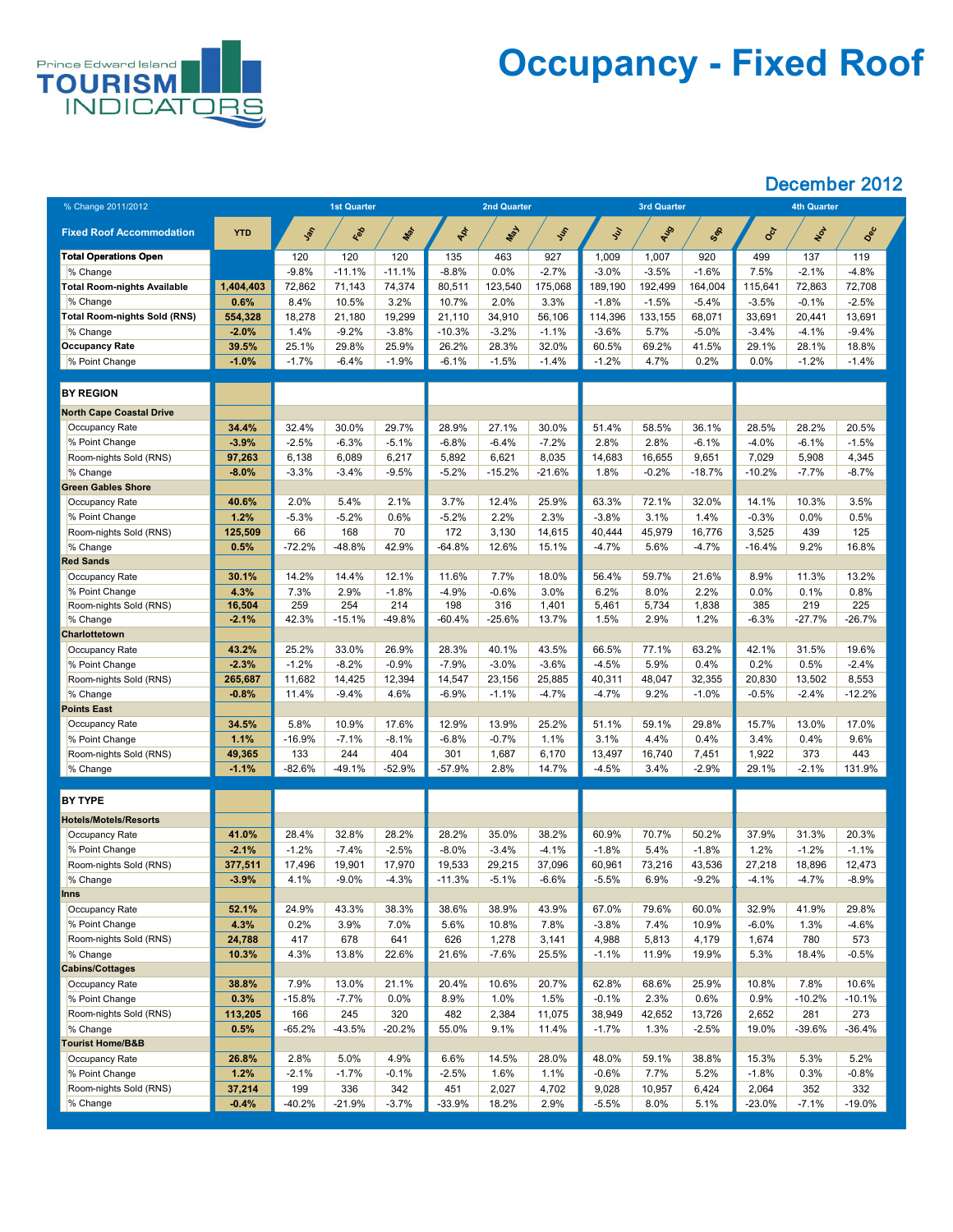

## **Occupancy - Fixed Roof**

| % Change 2011/2012                  |                 |                 | <b>1st Quarter</b> |                |             | <b>2nd Quarter</b> |                |                   | <b>3rd Quarter</b> |                |                | <b>4th Quarter</b> |                 |  |
|-------------------------------------|-----------------|-----------------|--------------------|----------------|-------------|--------------------|----------------|-------------------|--------------------|----------------|----------------|--------------------|-----------------|--|
|                                     |                 |                 |                    |                |             |                    |                |                   |                    |                |                |                    |                 |  |
| <b>Fixed Roof Accommodation</b>     | <b>YTD</b>      | Jan             | Red                | Max            | PR          | Nay                | Ist            | $\mathcal{L}$     | AUS                | Sep            | <b>SOCT</b>    | NOT                | Dec             |  |
| <b>Total Operations Open</b>        |                 | 120             | 120                | 120            | 135         | 463                | 927            | 1,009             | 1,007              | 920            | 499            | 137                | 119             |  |
| % Change                            |                 | $-9.8%$         | $-11.1%$           | $-11.1%$       | $-8.8%$     | 0.0%               | $-2.7%$        | $-3.0%$           | $-3.5%$            | $-1.6%$        | 7.5%           | $-2.1%$            | $-4.8%$         |  |
| <b>Total Room-nights Available</b>  | 1,404,403       | 72,862          | 71,143             | 74,374         | 80,511      | 123,540            | 175,068        | 189,190           | 192,499            | 164,004        | 115,641        | 72,863             | 72,708          |  |
| % Change                            | 0.6%            | 8.4%            | 10.5%              | 3.2%           | 10.7%       | 2.0%               | 3.3%           | $-1.8%$           | $-1.5%$            | $-5.4\%$       | $-3.5\%$       | $-0.1%$            | $-2.5%$         |  |
| <b>Total Room-nights Sold (RNS)</b> | 554,328         | 18,278          | 21,180             | 19,299         | 21,110      | 34,910             | 56,106         | 114,396           | 133,155            | 68,071         | 33,691         | 20,441             | 13,691          |  |
| % Change                            | $-2.0\%$        | 1.4%            | $-9.2%$            | $-3.8%$        | $-10.3%$    | $-3.2%$            | $-1.1%$        | $-3.6%$           | 5.7%               | $-5.0\%$       | $-3.4\%$       | $-4.1%$            | $-9.4%$         |  |
| <b>Occupancy Rate</b>               | 39.5%           | 25.1%           | 29.8%              | 25.9%          | 26.2%       | 28.3%              | 32.0%          | 60.5%             | 69.2%              | 41.5%          | 29.1%          | 28.1%              | 18.8%           |  |
| % Point Change                      | $-1.0%$         | $-1.7%$         | $-6.4%$            | $-1.9%$        | $-6.1%$     | $-1.5%$            | $-1.4%$        | $-1.2%$           | 4.7%               | 0.2%           | $0.0\%$        | $-1.2%$            | $-1.4%$         |  |
| <b>BY REGION</b>                    |                 |                 |                    |                |             |                    |                |                   |                    |                |                |                    |                 |  |
| <b>North Cape Coastal Drive</b>     |                 |                 |                    |                |             |                    |                |                   |                    |                |                |                    |                 |  |
| <b>Occupancy Rate</b>               | 34.4%           | 32.4%           | 30.0%              | 29.7%          | 28.9%       | 27.1%              | 30.0%          | 51.4%             | 58.5%              | 36.1%          | 28.5%          | 28.2%              | 20.5%           |  |
| % Point Change                      | $-3.9%$         | $-2.5%$         | $-6.3%$            | $-5.1%$        | $-6.8%$     | $-6.4%$            | $-7.2%$        | $2.8\%$           | 2.8%               | $-6.1%$        | $-4.0\%$       | $-6.1%$            | $-1.5%$         |  |
| Room-nights Sold (RNS)              | 97,263          | 6,138           | 6,089              | 6,217          | 5,892       | 6,621              | 8,035          | 14,683            | 16,655             | 9,651          | 7,029          | 5,908              | 4,345           |  |
| % Change                            | $-8.0%$         | $-3.3\%$        | $-3.4\%$           | $-9.5%$        | $-5.2%$     | $-15.2%$           | $-21.6%$       | $1.8\%$           | $-0.2%$            | $-18.7%$       | $-10.2%$       | $-7.7\%$           | $-8.7%$         |  |
| <b>Green Gables Shore</b>           |                 |                 |                    |                |             |                    |                |                   |                    |                |                |                    |                 |  |
| <b>Occupancy Rate</b>               | 40.6%           | 2.0%            | 5.4%               | 2.1%           | 3.7%        | 12.4%              | 25.9%          | 63.3%             | 72.1%              | 32.0%          | 14.1%          | 10.3%              | 3.5%            |  |
| % Point Change                      | 1.2%            | $-5.3%$         | $-5.2%$            | 0.6%           | $-5.2%$     | 2.2%               | 2.3%           | $-3.8%$           | 3.1%               | 1.4%           | $-0.3%$        | $0.0\%$            | 0.5%            |  |
| Room-nights Sold (RNS)              | 125,509         | 66              | 168                | 70             | 172         | 3,130              | 14,615         | 40,444            | 45,979             | 16,776         | 3,525          | 439                | 125             |  |
| % Change                            | 0.5%            | $-72.2%$        | $-48.8%$           | 42.9%          | $-64.8%$    | 12.6%              | 15.1%          | $-4.7\%$          | 5.6%               | $-4.7%$        | $-16.4%$       | 9.2%               | 16.8%           |  |
| <b>Red Sands</b>                    |                 |                 |                    |                |             |                    |                |                   |                    |                |                |                    |                 |  |
| Occupancy Rate                      | 30.1%           | 14.2%           | 14.4%              | 12.1%          | 11.6%       | 7.7%               | 18.0%          | 56.4%             | 59.7%              | 21.6%          | 8.9%           | 11.3%              | 13.2%           |  |
| % Point Change                      | 4.3%            | 7.3%            | 2.9%               | $-1.8%$        | $-4.9%$     | $-0.6%$            | 3.0%           | 6.2%              | 8.0%               | 2.2%           | 0.0%           | 0.1%               | 0.8%            |  |
| Room-nights Sold (RNS)              | 16,504          | 259             | 254                | 214            | 198         | 316                | 1,401          | 5,461             | 5,734              | 1,838          | 385            | 219                | 225             |  |
| % Change<br><b>Charlottetown</b>    | $-2.1%$         | 42.3%           | $-15.1%$           | $-49.8%$       | $-60.4%$    | $-25.6%$           | 13.7%          | $1.5\%$           | 2.9%               | 1.2%           | $-6.3%$        | $-27.7%$           | $-26.7%$        |  |
| <b>Occupancy Rate</b>               | 43.2%           | 25.2%           | 33.0%              | 26.9%          | 28.3%       | 40.1%              | 43.5%          | 66.5%             | 77.1%              | 63.2%          | 42.1%          | 31.5%              | 19.6%           |  |
| % Point Change                      | $-2.3%$         | $-1.2%$         | $-8.2%$            | $-0.9%$        | $-7.9\%$    | $-3.0%$            | $-3.6%$        | $-4.5%$           | 5.9%               | 0.4%           | 0.2%           | 0.5%               | $-2.4%$         |  |
| Room-nights Sold (RNS)              | 265,687         | 11,682          | 14,425             | 12,394         | 14,547      | 23,156             | 25,885         | 40,311            | 48,047             | 32,355         | 20,830         | 13,502             | 8,553           |  |
| % Change                            | $-0.8%$         | 11.4%           | $-9.4%$            | 4.6%           | $-6.9\%$    | $-1.1\%$           | $-4.7%$        | $-4.7%$           | 9.2%               | $-1.0%$        | $-0.5%$        | $-2.4%$            | $-12.2%$        |  |
| <b>Points East</b>                  |                 |                 |                    |                |             |                    |                |                   |                    |                |                |                    |                 |  |
| <b>Occupancy Rate</b>               | 34.5%           | 5.8%            | 10.9%              | 17.6%          | 12.9%       | 13.9%              | 25.2%          | 51.1%             | 59.1%              | 29.8%          | 15.7%          | 13.0%              | 17.0%           |  |
| % Point Change                      | 1.1%            | $-16.9%$        | $-7.1\%$           | $-8.1\%$       | $-6.8\%$    | $-0.7%$            | 1.1%           | 3.1%              | 4.4%               | 0.4%           | 3.4%           | 0.4%               | 9.6%            |  |
| Room-nights Sold (RNS)              | 49,365          | 133             | 244                | 404            | 301         | 1,687              | 6,170          | 13,497            | 16,740             | 7,451          | ,922           | 373                | 443             |  |
| $\%$ Change                         | $-1.1%$         | $-82.6%$        | $-49.1%$           | $-52.9%$       | $-57.9%$    | 2.8%               | 14.7%          | $-4.5%$           | 3.4%               | $-2.9%$        | 29.1%          | $-2.1%$            | 131.9%          |  |
|                                     |                 |                 |                    |                |             |                    |                |                   |                    |                |                |                    |                 |  |
| <b>BY TYPE</b>                      |                 |                 |                    |                |             |                    |                |                   |                    |                |                |                    |                 |  |
| <b>Hotels/Motels/Resorts</b>        |                 |                 |                    |                |             |                    |                |                   |                    |                |                |                    |                 |  |
| Occupancy Rate                      | 41.0%           | 28.4%           | 32.8%              | 28.2%          | 28.2%       | 35.0%              | 38.2%          | 60.9%             | 70.7%              | 50.2%          | 37.9%          | 31.3%              | 20.3%           |  |
| % Point Change                      | $-2.1%$         | $-1.2%$         | $-7.4\%$           | $-2.5%$        | $-8.0\%$    | $-3.4%$            | $-4.1%$        | $-1.8%$           | 5.4%               | $-1.8%$        | 1.2%           | $-1.2%$            | $-1.1%$         |  |
| Room-nights Sold (RNS)              | 377,511         | 17,496          | 19,901             | 17,970         | 19,533      | 29,215             | 37,096         | 60,961            | 73,216             | 43,536         | 27,218         | 18,896             | 12,473          |  |
| % Change                            | $-3.9%$         | 4.1%            | $-9.0\%$           | $-4.3%$        | $-11.3%$    | $-5.1%$            | $-6.6%$        | $-5.5%$           | 6.9%               | $-9.2%$        | $-4.1%$        | $-4.7%$            | $-8.9\%$        |  |
| <b>Inns</b>                         |                 |                 |                    |                |             |                    |                |                   |                    |                |                |                    |                 |  |
| Occupancy Rate                      | 52.1%           | 24.9%           | 43.3%              | 38.3%          | 38.6%       | 38.9%              | 43.9%          | 67.0%             | 79.6%              | 60.0%          | 32.9%          | 41.9%              | 29.8%           |  |
| % Point Change                      | 4.3%            | 0.2%            | 3.9%               | $7.0\%$        | 5.6%        | 10.8%              | 7.8%           | $-3.8%$           | 7.4%               | 10.9%          | $-6.0\%$       | 1.3%               | $-4.6%$         |  |
| Room-nights Sold (RNS)              | 24,788          | 417             | 678                | 641            | 626         | 1,278              | 3,141          | 4,988             | 5,813              | 4,179          | 1,674          | 780                | 573             |  |
| % Change                            | 10.3%           | 4.3%            | 13.8%              | 22.6%          | 21.6%       | $-7.6%$            | 25.5%          | $-1.1%$           | 11.9%              | 19.9%          | 5.3%           | 18.4%              | $-0.5%$         |  |
| <b>Cabins/Cottages</b>              |                 |                 |                    |                |             |                    |                |                   |                    |                |                |                    |                 |  |
| <b>Occupancy Rate</b>               | 38.8%           | 7.9%            | 13.0%              | 21.1%          | 20.4%       | 10.6%              | 20.7%          | 62.8%             | 68.6%              | 25.9%          | 10.8%          | 7.8%               | 10.6%           |  |
| % Point Change                      | 0.3%            | $-15.8%$<br>166 | $-7.7\%$<br>245    | $0.0\%$<br>320 | 8.9%<br>482 | 1.0%               | 1.5%<br>11,075 | $-0.1%$           | 2.3%               | 0.6%<br>13,726 | 0.9%           | $-10.2%$<br>281    | $-10.1%$<br>273 |  |
| Room-nights Sold (RNS)<br>% Change  | 113,205<br>0.5% | $-65.2%$        | $-43.5%$           | $-20.2%$       | 55.0%       | 2,384<br>9.1%      | 11.4%          | 38,949<br>$-1.7%$ | 42,652<br>1.3%     | $-2.5%$        | 2,652<br>19.0% | $-39.6%$           | $-36.4%$        |  |
| <b>Tourist Home/B&amp;B</b>         |                 |                 |                    |                |             |                    |                |                   |                    |                |                |                    |                 |  |
| <b>Occupancy Rate</b>               | 26.8%           | 2.8%            | 5.0%               | 4.9%           | 6.6%        | 14.5%              | 28.0%          | 48.0%             | 59.1%              | 38.8%          | 15.3%          | 5.3%               | 5.2%            |  |
| % Point Change                      | 1.2%            | $-2.1%$         | $-1.7\%$           | $-0.1%$        | $-2.5%$     | 1.6%               | 1.1%           | $-0.6%$           | $7.7\%$            | 5.2%           | $-1.8%$        | 0.3%               | $-0.8%$         |  |
| Room-nights Sold (RNS)              | 37,214          | 199             | 336                | 342            | 451         | 2,027              | 4,702          | 9,028             | 10,957             | 6,424          | 2,064          | 352                | 332             |  |
| $\%$ Change                         | $-0.4%$         | $-40.2\%$       | $-21.9%$           | $-3.7%$        | $-33.9%$    | 18.2%              | 2.9%           | $-5.5%$           | 8.0%               | 5.1%           | $-23.0\%$      | $-7.1\%$           | $-19.0\%$       |  |
|                                     |                 |                 |                    |                |             |                    |                |                   |                    |                |                |                    |                 |  |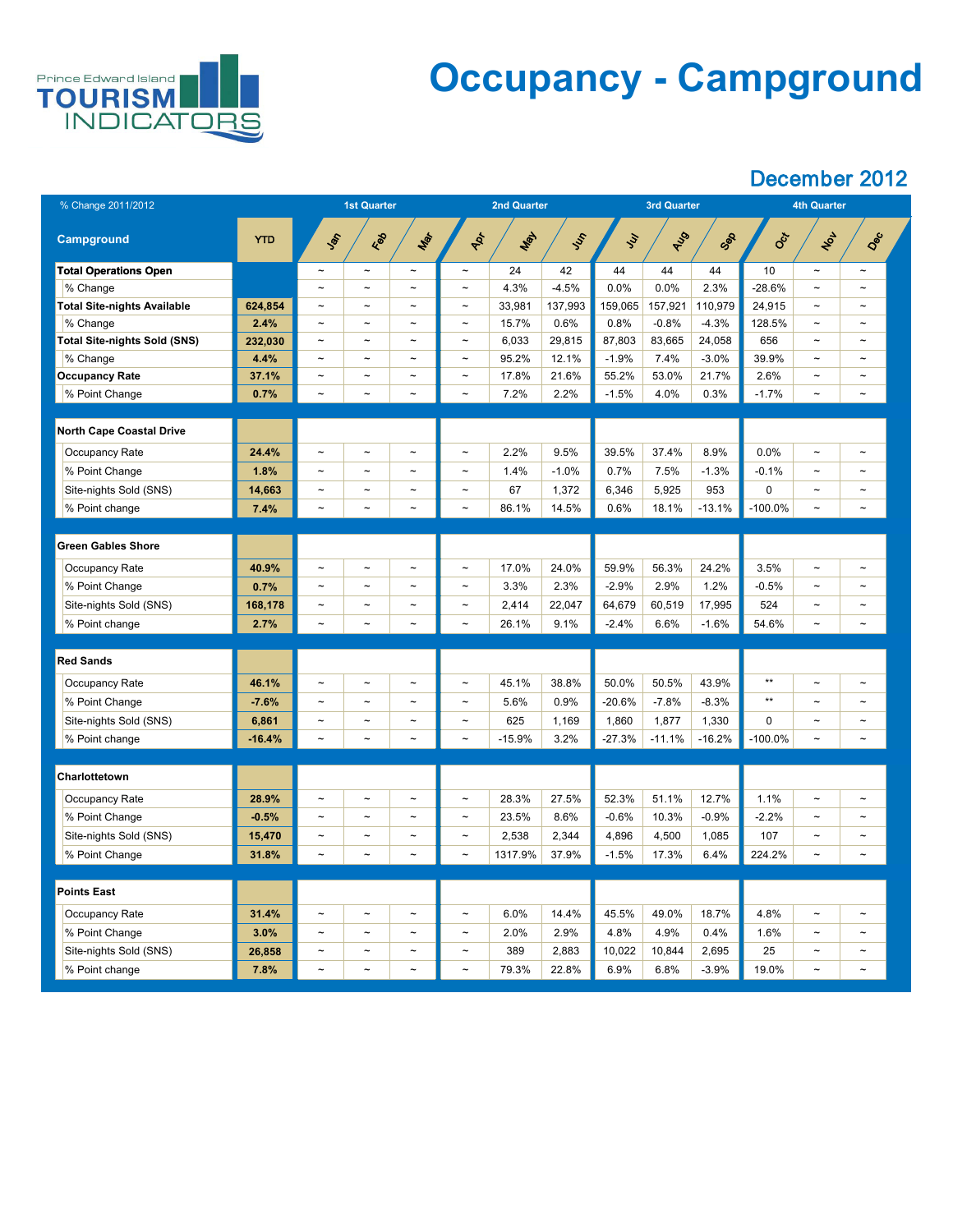

## **Occupancy - Campground**

| % Change 2011/2012                  |            | <b>1st Quarter</b>        |                       |                       | <b>2nd Quarter</b>    |          |         |               | <b>3rd Quarter</b> |          | <b>4th Quarter</b> |                       |                       |  |
|-------------------------------------|------------|---------------------------|-----------------------|-----------------------|-----------------------|----------|---------|---------------|--------------------|----------|--------------------|-----------------------|-----------------------|--|
| <b>Campground</b>                   | <b>YTD</b> | <b>SOL</b>                | Red                   | Mar                   | RD-                   | Max      | Just    | $\mathcal{L}$ | RIS                | Sep      | Sci                | <b>NOL</b>            | Dec                   |  |
| <b>Total Operations Open</b>        |            | $\tilde{}$                | $\tilde{}$            | $\tilde{\phantom{m}}$ | $\tilde{}$            | 24       | 42      | 44            | 44                 | 44       | 10                 | $\thicksim$           | $\tilde{\phantom{a}}$ |  |
| % Change                            |            | $\tilde{\phantom{m}}$     | $\tilde{\phantom{m}}$ | $\thicksim$           | $\tilde{\phantom{a}}$ | 4.3%     | $-4.5%$ | 0.0%          | 0.0%               | 2.3%     | $-28.6%$           | $\tilde{\phantom{a}}$ | $\tilde{\phantom{m}}$ |  |
| <b>Total Site-nights Available</b>  | 624,854    | $\thicksim$               | $\tilde{\phantom{a}}$ | $\tilde{\phantom{a}}$ | $\thicksim$           | 33,981   | 137,993 | 159,065       | 157,921            | 110,979  | 24,915             | $\tilde{\phantom{a}}$ | $\tilde{\phantom{a}}$ |  |
| % Change                            | 2.4%       | $\thicksim$               | $\tilde{\phantom{m}}$ | $\tilde{\phantom{m}}$ | $\tilde{\phantom{a}}$ | 15.7%    | 0.6%    | 0.8%          | $-0.8%$            | $-4.3%$  | 128.5%             | $\tilde{}$            | $\tilde{\phantom{m}}$ |  |
| <b>Total Site-nights Sold (SNS)</b> | 232,030    | $\thicksim$               | $\tilde{\phantom{a}}$ | $\tilde{\phantom{a}}$ | $\tilde{}$            | 6,033    | 29,815  | 87,803        | 83,665             | 24,058   | 656                | $\tilde{\phantom{a}}$ | $\tilde{\phantom{a}}$ |  |
| % Change                            | 4.4%       | $\widetilde{\phantom{m}}$ | $\tilde{\phantom{a}}$ | $\tilde{\phantom{m}}$ | $\tilde{}$            | 95.2%    | 12.1%   | $-1.9%$       | 7.4%               | $-3.0%$  | 39.9%              | $\thicksim$           | $\tilde{\phantom{a}}$ |  |
| <b>Occupancy Rate</b>               | 37.1%      | $\widetilde{\phantom{m}}$ | $\tilde{\phantom{a}}$ | $\tilde{\phantom{m}}$ | $\thicksim$           | 17.8%    | 21.6%   | 55.2%         | 53.0%              | 21.7%    | 2.6%               | $\tilde{\phantom{a}}$ | $\tilde{\phantom{a}}$ |  |
| % Point Change                      | 0.7%       | $\thicksim$               | $\tilde{\phantom{m}}$ | $\tilde{\phantom{m}}$ | $\thicksim$           | 7.2%     | 2.2%    | $-1.5%$       | 4.0%               | 0.3%     | $-1.7\%$           | $\tilde{\phantom{a}}$ | $\tilde{}$            |  |
|                                     |            |                           |                       |                       |                       |          |         |               |                    |          |                    |                       |                       |  |
| <b>North Cape Coastal Drive</b>     |            |                           |                       |                       |                       |          |         |               |                    |          |                    |                       |                       |  |
| <b>Occupancy Rate</b>               | 24.4%      | $\thicksim$               | $\tilde{\phantom{m}}$ | $\tilde{\phantom{m}}$ | $\tilde{\phantom{a}}$ | 2.2%     | 9.5%    | 39.5%         | 37.4%              | 8.9%     | 0.0%               | $\tilde{\phantom{a}}$ | $\sim$                |  |
| % Point Change                      | 1.8%       | $\widetilde{\phantom{m}}$ | $\tilde{\phantom{a}}$ | $\sim$                | $\thicksim$           | 1.4%     | $-1.0%$ | 0.7%          | 7.5%               | $-1.3%$  | $-0.1%$            | $\tilde{\phantom{a}}$ | $\sim$                |  |
| Site-nights Sold (SNS)              | 14,663     | $\tilde{}$                | $\tilde{\phantom{a}}$ | $\tilde{\phantom{a}}$ | $\tilde{}$            | 67       | 1,372   | 6,346         | 5,925              | 953      | $\Omega$           | $\tilde{}$            | $\tilde{\phantom{a}}$ |  |
| % Point change                      | 7.4%       | $\thicksim$               | $\tilde{\phantom{a}}$ | $\tilde{\phantom{m}}$ | $\thicksim$           | 86.1%    | 14.5%   | 0.6%          | 18.1%              | $-13.1%$ | $-100.0\%$         | $\thicksim$           | $\tilde{}$            |  |
|                                     |            |                           |                       |                       |                       |          |         |               |                    |          |                    |                       |                       |  |
| <b>Green Gables Shore</b>           |            |                           |                       |                       |                       |          |         |               |                    |          |                    |                       |                       |  |
| <b>Occupancy Rate</b>               | 40.9%      | $\tilde{\phantom{a}}$     | $\tilde{}$            | $\tilde{}$            | $\thicksim$           | 17.0%    | 24.0%   | 59.9%         | 56.3%              | 24.2%    | 3.5%               | $\tilde{}$            | $\tilde{}$            |  |
| % Point Change                      | 0.7%       | $\thicksim$               | $\tilde{\phantom{m}}$ | $\tilde{\phantom{m}}$ | $\tilde{}$            | 3.3%     | 2.3%    | $-2.9%$       | 2.9%               | 1.2%     | $-0.5%$            | $\tilde{\phantom{a}}$ | $\tilde{\phantom{m}}$ |  |
| Site-nights Sold (SNS)              | 168,178    | $\thicksim$               | $\tilde{\phantom{m}}$ | $\tilde{\phantom{m}}$ | $\tilde{}$            | 2,414    | 22,047  | 64,679        | 60,519             | 17,995   | 524                | $\tilde{}$            | $\tilde{\phantom{m}}$ |  |
| % Point change                      | 2.7%       | $\thicksim$               | $\tilde{\phantom{m}}$ | $\thicksim$           | $\thicksim$           | 26.1%    | 9.1%    | $-2.4%$       | 6.6%               | $-1.6%$  | 54.6%              | $\thicksim$           | $\tilde{}$            |  |
|                                     |            |                           |                       |                       |                       |          |         |               |                    |          |                    |                       |                       |  |
| <b>Red Sands</b>                    |            |                           |                       |                       |                       |          |         |               |                    |          |                    |                       |                       |  |
| <b>Occupancy Rate</b>               | 46.1%      | $\tilde{}$                | $\tilde{\phantom{m}}$ | $\tilde{\phantom{a}}$ | $\thicksim$           | 45.1%    | 38.8%   | 50.0%         | 50.5%              | 43.9%    | $***$              | $\tilde{\phantom{a}}$ | $\tilde{\phantom{m}}$ |  |
| % Point Change                      | $-7.6%$    | $\tilde{}$                | $\tilde{\phantom{a}}$ | $\tilde{\phantom{m}}$ | $\tilde{}$            | 5.6%     | 0.9%    | $-20.6%$      | $-7.8%$            | $-8.3%$  | $***$              | $\tilde{}$            | $\tilde{\phantom{a}}$ |  |
| Site-nights Sold (SNS)              | 6,861      | $\thicksim$               | $\tilde{\phantom{a}}$ | $\tilde{\phantom{m}}$ | $\tilde{}$            | 625      | 1,169   | 1,860         | 1,877              | 1,330    | $\overline{0}$     | $\tilde{}$            | $\tilde{\phantom{a}}$ |  |
| % Point change                      | $-16.4%$   | $\thicksim$               | $\tilde{\phantom{a}}$ | $\tilde{\phantom{m}}$ | $\thicksim$           | $-15.9%$ | 3.2%    | $-27.3%$      | $-11.1%$           | $-16.2%$ | $-100.0\%$         | $\thicksim$           | $\thicksim$           |  |
|                                     |            |                           |                       |                       |                       |          |         |               |                    |          |                    |                       |                       |  |
| Charlottetown                       |            |                           |                       |                       |                       |          |         |               |                    |          |                    |                       |                       |  |
| <b>Occupancy Rate</b>               | 28.9%      | $\thicksim$               | $\tilde{\phantom{m}}$ | $\tilde{\phantom{m}}$ | $\tilde{\phantom{a}}$ | 28.3%    | 27.5%   | 52.3%         | 51.1%              | 12.7%    | 1.1%               | $\tilde{\phantom{a}}$ | $\tilde{\phantom{m}}$ |  |
| % Point Change                      | $-0.5%$    | $\thicksim$               | $\tilde{\phantom{m}}$ | $\tilde{\phantom{m}}$ | $\tilde{\phantom{a}}$ | 23.5%    | 8.6%    | $-0.6%$       | 10.3%              | $-0.9%$  | $-2.2%$            | $\tilde{\phantom{a}}$ | $\tilde{\phantom{m}}$ |  |
| Site-nights Sold (SNS)              | 15,470     | $\tilde{}$                | $\tilde{\phantom{a}}$ | $\tilde{\phantom{m}}$ | $\tilde{}$            | 2,538    | 2,344   | 4,896         | 4,500              | 1,085    | 107                | $\tilde{\phantom{a}}$ | $\tilde{\phantom{m}}$ |  |
| % Point Change                      | 31.8%      | $\thicksim$               | $\thicksim$           | $\thicksim$           | $\thicksim$           | 1317.9%  | 37.9%   | $-1.5%$       | 17.3%              | 6.4%     | 224.2%             | $\thicksim$           | $\tilde{}$            |  |
|                                     |            |                           |                       |                       |                       |          |         |               |                    |          |                    |                       |                       |  |
| <b>Points East</b>                  |            |                           |                       |                       |                       |          |         |               |                    |          |                    |                       |                       |  |
| <b>Occupancy Rate</b>               | 31.4%      | $\tilde{}$                | $\tilde{\phantom{m}}$ | $\tilde{\phantom{m}}$ | $\tilde{}$            | 6.0%     | 14.4%   | 45.5%         | 49.0%              | 18.7%    | 4.8%               | $\thicksim$           | $\tilde{}$            |  |
| % Point Change                      | 3.0%       |                           |                       |                       |                       | 2.0%     | 2.9%    | 4.8%          | 4.9%               | 0.4%     | 1.6%               |                       |                       |  |
| Site-nights Sold (SNS)              | 26,858     | $\sim$                    | $\thicksim$           | $\thicksim$           | $\tilde{\phantom{a}}$ | 389      | 2,883   | 10,022        | 10,844             | 2,695    | 25                 | $\tilde{\phantom{a}}$ | $\sim$                |  |
| % Point change                      | 7.8%       | $\sim$                    | $\sim$                | $\sim$                | $\thicksim$           | 79.3%    | 22.8%   | 6.9%          | 6.8%               | $-3.9%$  | 19.0%              | $\tilde{\phantom{a}}$ | $\sim$                |  |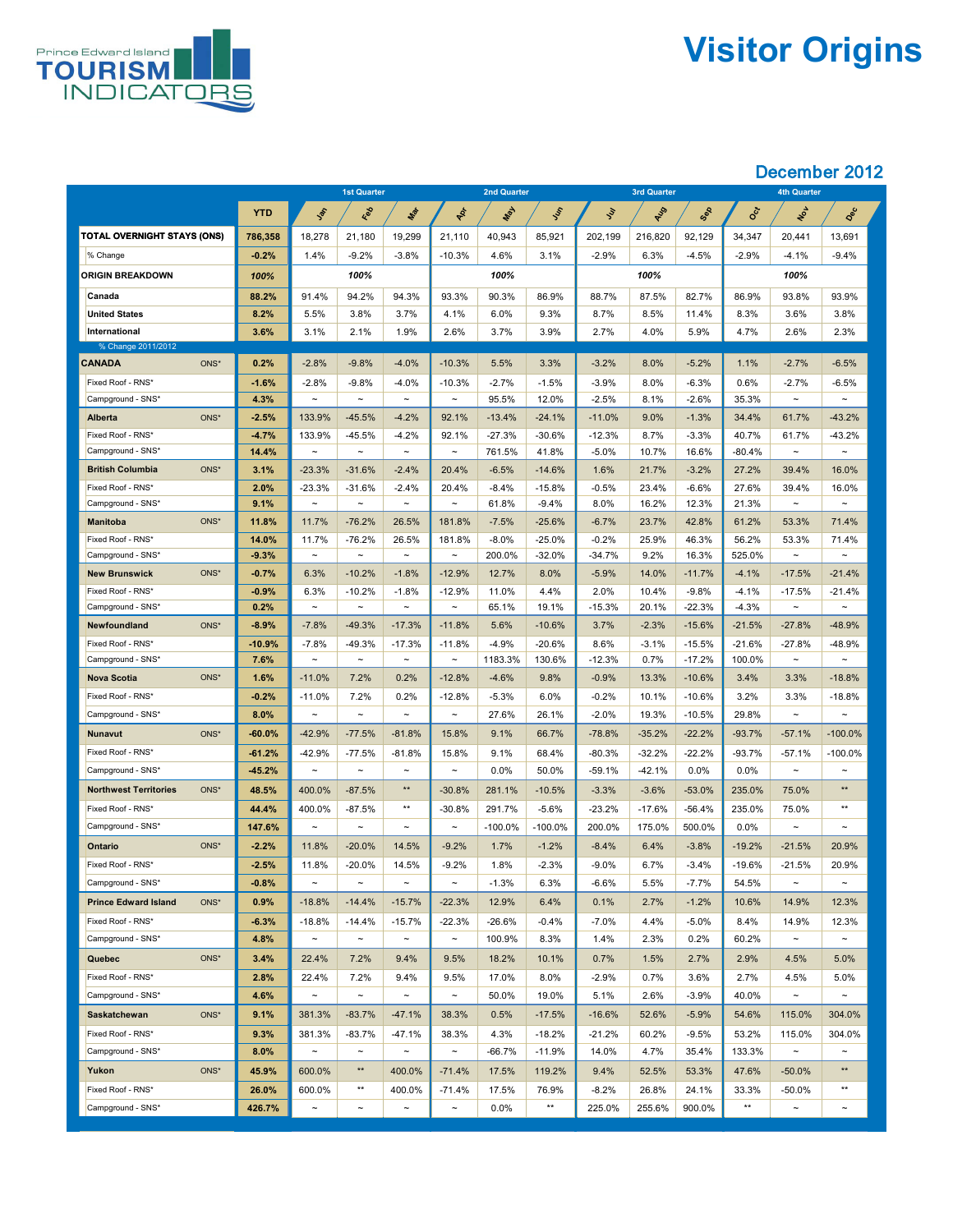

# **Visitor Origins**

|                                        |              |                                   | <b>1st Quarter</b> |                       |                       | <b>2nd Quarter</b> |                      |                 | <b>3rd Quarter</b> |                  |                | <b>4th Quarter</b>    |                       |
|----------------------------------------|--------------|-----------------------------------|--------------------|-----------------------|-----------------------|--------------------|----------------------|-----------------|--------------------|------------------|----------------|-----------------------|-----------------------|
|                                        | <b>YTD</b>   | Jan                               | Red                | Mar                   | PRI                   | <b>WAY</b>         | Just                 | $\mathcal{L}$   | RIS                | Sep              | <b>Oct</b>     | NOV                   | Dec                   |
| <b>TOTAL OVERNIGHT STAYS (ONS)</b>     | 786,358      | 18,278                            | 21,180             | 19,299                | 21,110                | 40,943             | 85,921               | 202,199         | 216,820            | 92,129           | 34,347         | 20,441                | 13,691                |
| % Change                               | $-0.2%$      | $1.4\%$                           | $-9.2%$            | $-3.8%$               | $-10.3%$              | 4.6%               | 3.1%                 | $-2.9%$         | 6.3%               | $-4.5%$          | $-2.9%$        | $-4.1%$               | $-9.4%$               |
| <b>ORIGIN BREAKDOWN</b>                | 100%         |                                   | 100%               |                       |                       | 100%               |                      |                 | 100%               |                  |                | 100%                  |                       |
| Canada                                 | 88.2%        | 91.4%                             | 94.2%              | 94.3%                 | 93.3%                 | 90.3%              | 86.9%                | 88.7%           | 87.5%              | 82.7%            | 86.9%          | 93.8%                 | 93.9%                 |
| <b>United States</b>                   | 8.2%         | 5.5%                              | 3.8%               | 3.7%                  | 4.1%                  | 6.0%               | 9.3%                 | 8.7%            | 8.5%               | 11.4%            | 8.3%           | 3.6%                  | 3.8%                  |
| International                          | 3.6%         | 3.1%                              | 2.1%               | 1.9%                  | 2.6%                  | 3.7%               | 3.9%                 | 2.7%            | 4.0%               | 5.9%             | 4.7%           | 2.6%                  | 2.3%                  |
| % Change 2011/2012                     |              |                                   |                    |                       |                       |                    |                      |                 |                    |                  |                |                       |                       |
| <b>CANADA</b><br>ONS*                  | 0.2%         | $-2.8%$                           | $-9.8%$            | $-4.0%$               | $-10.3%$              | 5.5%               | 3.3%                 | $-3.2%$         | 8.0%               | $-5.2%$          | 1.1%           | $-2.7%$               | $-6.5%$               |
| Fixed Roof - RNS*                      | $-1.6%$      | $-2.8%$                           | $-9.8%$            | $-4.0%$               | $-10.3%$              | $-2.7%$            | $-1.5%$              | $-3.9%$         | 8.0%               | $-6.3%$          | 0.6%           | $-2.7%$               | $-6.5%$               |
| Campground - SNS*                      | 4.3%         | $\sim$                            | $\sim$             | $\tilde{\phantom{m}}$ | $\sim$                | 95.5%              | 12.0%                | $-2.5%$         | 8.1%               | $-2.6\%$         | 35.3%          | $\sim$                | $\sim$                |
| ONS*<br><b>Alberta</b>                 | $-2.5%$      | 133.9%                            | $-45.5%$           | $-4.2%$               | 92.1%                 | $-13.4%$           | $-24.1%$             | $-11.0%$        | 9.0%               | $-1.3%$          | 34.4%          | 61.7%                 | $-43.2%$              |
| Fixed Roof - RNS*                      | $-4.7%$      | 133.9%                            | $-45.5%$           | $-4.2%$               | 92.1%                 | $-27.3%$           | $-30.6%$             | $-12.3%$        | 8.7%               | $-3.3%$          | 40.7%          | 61.7%                 | $-43.2%$              |
| Campground - SNS*                      | 14.4%        | $\sim$                            | $\sim$             | $\sim$                | $\tilde{\phantom{m}}$ | 761.5%             | 41.8%                | $-5.0\%$        | 10.7%              | 16.6%            | $-80.4\%$      | $\sim$                | $\sim$                |
| ONS*<br><b>British Columbia</b>        | 3.1%         | $-23.3%$                          | $-31.6%$           | $-2.4%$               | 20.4%                 | $-6.5%$            | $-14.6%$             | 1.6%            | 21.7%              | $-3.2%$          | 27.2%          | 39.4%                 | 16.0%                 |
| Fixed Roof - RNS*<br>Campground - SNS* | 2.0%<br>9.1% | $-23.3%$<br>$\tilde{\phantom{m}}$ | $-31.6%$<br>$\sim$ | $-2.4%$<br>$\sim$     | 20.4%<br>$\thicksim$  | $-8.4%$<br>61.8%   | $-15.8%$<br>$-9.4\%$ | $-0.5%$<br>8.0% | 23.4%<br>16.2%     | $-6.6%$<br>12.3% | 27.6%<br>21.3% | 39.4%<br>$\sim$       | 16.0%<br>$\sim$       |
| ONS*<br><b>Manitoba</b>                | 11.8%        | 11.7%                             | $-76.2%$           | 26.5%                 | 181.8%                | $-7.5%$            | $-25.6%$             | $-6.7%$         | 23.7%              | 42.8%            | 61.2%          | 53.3%                 | 71.4%                 |
| Fixed Roof - RNS*                      | 14.0%        | 11.7%                             | $-76.2%$           | 26.5%                 | 181.8%                | $-8.0\%$           | $-25.0%$             | $-0.2%$         | 25.9%              | 46.3%            | 56.2%          | 53.3%                 | 71.4%                 |
| Campground - SNS*                      | $-9.3%$      | $\sim$                            | $\sim$             | $\sim$                | $\thicksim$           | 200.0%             | $-32.0%$             | $-34.7%$        | 9.2%               | 16.3%            | 525.0%         | $\sim$                | $\sim$                |
| ONS*<br><b>New Brunswick</b>           | $-0.7%$      | 6.3%                              | $-10.2%$           | $-1.8%$               | $-12.9%$              | 12.7%              | 8.0%                 | $-5.9%$         | 14.0%              | $-11.7%$         | $-4.1%$        | $-17.5%$              | $-21.4%$              |
| Fixed Roof - RNS*                      | $-0.9%$      | 6.3%                              | $-10.2%$           | $-1.8%$               | $-12.9%$              | 11.0%              | 4.4%                 | 2.0%            | 10.4%              | $-9.8%$          | $-4.1%$        | $-17.5%$              | $-21.4%$              |
| Campground - SNS*                      | 0.2%         | $\tilde{\phantom{a}}$             | $\sim$             | $\thicksim$           | $\sim$                | 65.1%              | 19.1%                | $-15.3%$        | 20.1%              | $-22.3%$         | $-4.3%$        | $\sim$                | $\sim$                |
| ONS*<br>Newfoundland                   | $-8.9%$      | $-7.8%$                           | $-49.3%$           | $-17.3%$              | $-11.8%$              | 5.6%               | $-10.6%$             | 3.7%            | $-2.3%$            | $-15.6%$         | $-21.5%$       | $-27.8%$              | $-48.9%$              |
| Fixed Roof - RNS*                      | $-10.9%$     | $-7.8%$                           | $-49.3%$           | $-17.3%$              | $-11.8%$              | $-4.9%$            | $-20.6%$             | 8.6%            | $-3.1%$            | $-15.5%$         | $-21.6%$       | $-27.8%$              | $-48.9%$              |
| Campground - SNS*                      | 7.6%         | $\sim$                            | $\sim$             | $\sim$                | $\thicksim$           | 1183.3%            | 130.6%               | $-12.3%$        | 0.7%               | $-17.2%$         | 100.0%         | $\sim$                | $\sim$                |
| ONS*<br><b>Nova Scotia</b>             | 1.6%         | $-11.0%$                          | 7.2%               | 0.2%                  | $-12.8%$              | $-4.6%$            | 9.8%                 | $-0.9%$         | 13.3%              | $-10.6%$         | 3.4%           | 3.3%                  | $-18.8%$              |
| Fixed Roof - RNS*                      | $-0.2%$      | $-11.0%$                          | 7.2%               | 0.2%                  | $-12.8%$              | $-5.3%$            | 6.0%                 | $-0.2%$         | 10.1%              | $-10.6%$         | 3.2%           | 3.3%                  | $-18.8%$              |
| Campground - SNS*                      | 8.0%         | $\thicksim$                       | $\sim$             | $\sim$                | $\tilde{\phantom{a}}$ | 27.6%              | 26.1%                | $-2.0%$         | 19.3%              | $-10.5%$         | 29.8%          | $\sim$                | $\tilde{\phantom{m}}$ |
| ONS*<br>Nunavut                        | $-60.0%$     | $-42.9%$                          | $-77.5%$           | $-81.8%$              | 15.8%                 | 9.1%               | 66.7%                | $-78.8%$        | $-35.2%$           | $-22.2%$         | $-93.7%$       | $-57.1%$              | $-100.0\%$            |
| Fixed Roof - RNS*                      | $-61.2%$     | $-42.9%$                          | $-77.5%$           | $-81.8%$              | 15.8%                 | 9.1%               | 68.4%                | $-80.3%$        | $-32.2%$           | $-22.2%$         | $-93.7%$       | $-57.1%$              | $-100.0\%$            |
| Campground - SNS*                      | $-45.2%$     | $\sim$                            | $\sim$             | $\sim$                | $\tilde{\phantom{a}}$ | $0.0\%$            | 50.0%                | $-59.1%$        | $-42.1%$           | 0.0%             | $0.0\%$        | $\sim$                | $\sim$                |
| ONS*<br><b>Northwest Territories</b>   | 48.5%        | 400.0%                            | $-87.5%$           | $***$                 | $-30.8%$              | 281.1%             | $-10.5%$             | $-3.3%$         | $-3.6%$            | $-53.0%$         | 235.0%         | 75.0%                 | $***$                 |
| Fixed Roof - RNS*                      | 44.4%        | 400.0%                            | $-87.5%$           | $***$                 | $-30.8%$              | 291.7%             | $-5.6%$              | $-23.2%$        | $-17.6%$           | $-56.4%$         | 235.0%         | 75.0%                 | $***$                 |
| Campground - SNS*                      | 147.6%       | $\thicksim$                       | $\sim$             | $\sim$                | $\tilde{\phantom{a}}$ | $-100.0\%$         | $-100.0\%$           | 200.0%          | 175.0%             | 500.0%           | $0.0\%$        | $\sim$                | $\sim$                |
| ONS*<br><b>Ontario</b>                 | $-2.2%$      | 11.8%                             | $-20.0%$           | 14.5%                 | $-9.2%$               | 1.7%               | $-1.2%$              | $-8.4%$         | 6.4%               | $-3.8%$          | $-19.2%$       | $-21.5%$              | 20.9%                 |
| Fixed Roof - RNS*                      | $-2.5%$      | 11.8%                             | $-20.0\%$          | 14.5%                 | $-9.2%$               | 1.8%               | $-2.3%$              | $-9.0\%$        | 6.7%               | $-3.4\%$         | $-19.6%$       | $-21.5%$              | 20.9%                 |
| Campground - SNS*                      | $-0.8%$      | $\tilde{\phantom{m}}$             | $\sim$             | $\sim$                | $\tilde{\phantom{a}}$ | $-1.3%$            | 6.3%                 | $-6.6%$         | 5.5%               | $-7.7\%$         | 54.5%          | $\sim$                | $\sim$                |
| ONS*<br><b>Prince Edward Island</b>    | 0.9%         | $-18.8%$                          | $-14.4%$           | $-15.7%$              | $-22.3%$              | 12.9%              | 6.4%                 | 0.1%            | 2.7%               | $-1.2%$          | 10.6%          | 14.9%                 | 12.3%                 |
| Fixed Roof - RNS*                      | $-6.3%$      | $-18.8%$                          | $-14.4%$           | $-15.7%$              | $-22.3%$              | $-26.6%$           | $-0.4%$              | $-7.0\%$        | 4.4%               | $-5.0%$          | 8.4%           | 14.9%                 | 12.3%                 |
| Campground - SNS*                      | 4.8%         | $\thicksim$                       | $\sim$             | $\sim$                | $\thicksim$           | 100.9%             | 8.3%                 | 1.4%            | 2.3%               | 0.2%             | 60.2%          | $\sim$                | $\sim$                |
| ONS*<br><b>Quebec</b>                  | 3.4%         | 22.4%                             | 7.2%               | 9.4%                  | 9.5%                  | 18.2%              | 10.1%                | 0.7%            | 1.5%               | 2.7%             | 2.9%           | 4.5%                  | 5.0%                  |
| Fixed Roof - RNS*                      | 2.8%         | 22.4%                             | 7.2%               | 9.4%                  | 9.5%                  | 17.0%              | 8.0%                 | $-2.9%$         | 0.7%               | 3.6%             | 2.7%           | 4.5%                  | 5.0%                  |
| Campground - SNS*                      | 4.6%         | $\thicksim$                       | $\sim$             | $\sim$                | $\tilde{\phantom{m}}$ | 50.0%              | 19.0%                | 5.1%            | 2.6%               | $-3.9%$          | 40.0%          | $\sim$                | $\sim$                |
| ONS*<br><b>Saskatchewan</b>            | 9.1%         | 381.3%                            | $-83.7%$           | $-47.1%$              | 38.3%                 | 0.5%               | $-17.5%$             | $-16.6%$        | 52.6%              | $-5.9%$          | 54.6%          | 115.0%                | 304.0%                |
| Fixed Roof - RNS*                      | 9.3%         | 381.3%                            | $-83.7%$           | $-47.1%$              | 38.3%                 | 4.3%               | $-18.2%$             | $-21.2%$        | 60.2%              | $-9.5%$          | 53.2%          | 115.0%                | 304.0%                |
| Campground - SNS*                      | 8.0%         | $\thicksim$                       | $\sim$             | $\sim$                | $\tilde{\phantom{a}}$ | $-66.7%$           | $-11.9%$             | 14.0%           | 4.7%               | 35.4%            | 133.3%         | $\sim$                | $\sim$                |
| ONS*<br>Yukon                          | 45.9%        | 600.0%                            | $***$              | 400.0%                | $-71.4%$              | 17.5%              | 119.2%               | 9.4%            | 52.5%              | 53.3%            | 47.6%          | $-50.0\%$             | $***$                 |
| Fixed Roof - RNS*                      | 26.0%        | 600.0%                            | $***$              | 400.0%                | $-71.4\%$             | 17.5%              | 76.9%                | $-8.2\%$        | 26.8%              | 24.1%            | 33.3%          | $-50.0\%$             | $***$                 |
| Campground - SNS*                      | 426.7%       | $\thicksim$                       | $\sim$             | $\sim$                | $\thicksim$           | $0.0\%$            | $***$                | 225.0%          | 255.6%             | 900.0%           | $***$          | $\tilde{\phantom{a}}$ | $\tilde{\phantom{a}}$ |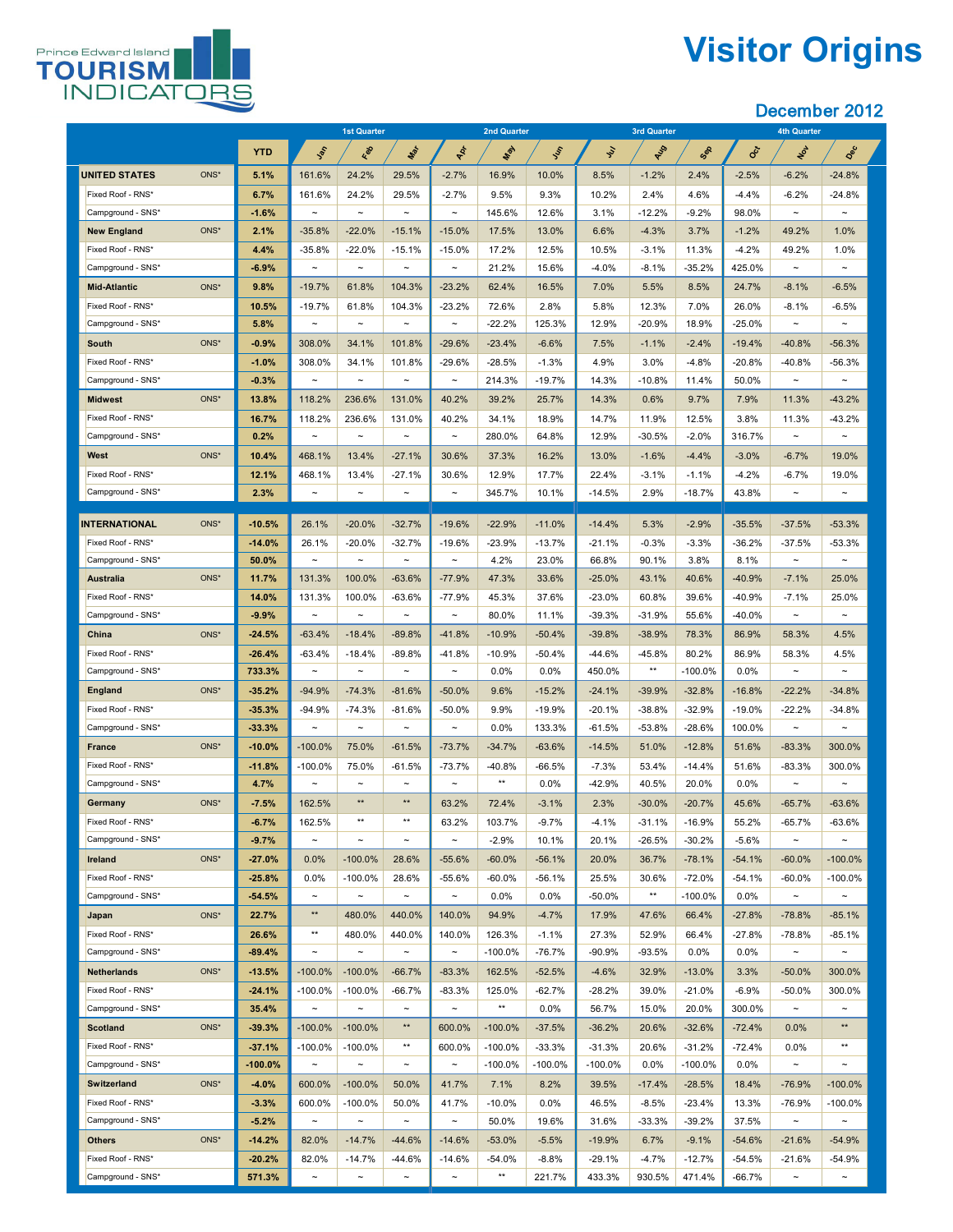

# **Visitor Origins**

|                                        |                   | 1st Quarter           |                         |                                   | <b>2nd Quarter</b>      |                  |                   |                   | <b>3rd Quarter</b> |                 | <b>4th Quarter</b> |                       |                         |
|----------------------------------------|-------------------|-----------------------|-------------------------|-----------------------------------|-------------------------|------------------|-------------------|-------------------|--------------------|-----------------|--------------------|-----------------------|-------------------------|
|                                        | <b>YTD</b>        | Jan                   | Red                     | Max                               | ADT                     | <b>May</b>       | <b>SSS</b>        | $\mathcal{S}$     | RUS                | Sep             | <b>Oct</b>         | NOT                   | Dec                     |
| <b>UNITED STATES</b><br>ONS*           | 5.1%              | 161.6%                | 24.2%                   | 29.5%                             | $-2.7%$                 | 16.9%            | 10.0%             | 8.5%              | $-1.2%$            | 2.4%            | $-2.5%$            | $-6.2%$               | $-24.8%$                |
| Fixed Roof - RNS*                      | 6.7%              | 161.6%                | 24.2%                   | 29.5%                             | $-2.7%$                 | 9.5%             | 9.3%              | 10.2%             | 2.4%               | 4.6%            | $-4.4%$            | $-6.2%$               | $-24.8%$                |
| Campground - SNS*                      | $-1.6%$           | $\thicksim$           | $\thicksim$             | $\sim$                            | $\sim$                  | 145.6%           | 12.6%             | 3.1%              | $-12.2%$           | $-9.2%$         | 98.0%              | $\sim$                | $\sim$                  |
| ONS*<br><b>New England</b>             | 2.1%              | $-35.8%$              | $-22.0%$                | $-15.1%$                          | $-15.0%$                | 17.5%            | 13.0%             | 6.6%              | $-4.3%$            | 3.7%            | $-1.2%$            | 49.2%                 | 1.0%                    |
| Fixed Roof - RNS*                      | 4.4%              | $-35.8%$              | $-22.0%$                | $-15.1%$                          | $-15.0\%$               | 17.2%            | 12.5%             | 10.5%             | $-3.1%$            | 11.3%           | $-4.2\%$           | 49.2%                 | 1.0%                    |
| Campground - SNS*                      | $-6.9%$           | $\sim$                | $\tilde{\phantom{a}}$   | $\tilde{\phantom{a}}$             | $\tilde{\phantom{a}}$   | 21.2%            | 15.6%             | $-4.0\%$          | $-8.1%$            | $-35.2%$        | 425.0%             | $\sim$                | $\sim$                  |
| ONS*<br><b>Mid-Atlantic</b>            | 9.8%              | $-19.7%$              | 61.8%                   | 104.3%                            | $-23.2%$                | 62.4%            | 16.5%             | 7.0%              | 5.5%               | 8.5%            | 24.7%              | $-8.1%$               | $-6.5%$                 |
| Fixed Roof - RNS*                      | 10.5%             | $-19.7%$              | 61.8%                   | 104.3%                            | $-23.2%$                | 72.6%            | 2.8%              | 5.8%              | 12.3%              | 7.0%            | 26.0%              | $-8.1%$               | $-6.5%$                 |
| Campground - SNS*                      | 5.8%              | $\sim$                | $\thicksim$             | $\tilde{\phantom{a}}$             | $\tilde{\phantom{m}}$   | $-22.2%$         | 125.3%            | 12.9%             | $-20.9%$           | 18.9%           | $-25.0\%$          | $\sim$                | $\sim$                  |
| ONS*<br><b>South</b>                   | $-0.9%$           | 308.0%                | 34.1%                   | 101.8%                            | $-29.6%$                | $-23.4%$         | $-6.6%$           | 7.5%              | $-1.1%$            | $-2.4%$         | $-19.4%$           | $-40.8%$              | $-56.3%$                |
| Fixed Roof - RNS*                      | $-1.0%$           | 308.0%                | 34.1%                   | 101.8%                            | $-29.6%$                | $-28.5%$         | $-1.3%$           | 4.9%              | 3.0%               | $-4.8%$         | $-20.8%$           | $-40.8%$              | $-56.3%$                |
| Campground - SNS*                      | $-0.3%$           | $\sim$                | $\tilde{\phantom{a}}$   | $\tilde{\phantom{a}}$             | $\tilde{\phantom{a}}$   | 214.3%           | $-19.7%$          | 14.3%             | $-10.8%$           | 11.4%           | 50.0%              | $\sim$                | $\sim$                  |
| ONS*<br><b>Midwest</b>                 | 13.8%             | 118.2%                | 236.6%                  | 131.0%                            | 40.2%                   | 39.2%            | 25.7%             | 14.3%             | 0.6%               | 9.7%            | 7.9%               | 11.3%                 | $-43.2%$                |
| Fixed Roof - RNS*                      | 16.7%             | 118.2%                | 236.6%                  | 131.0%                            | 40.2%                   | 34.1%            | 18.9%             | 14.7%             | 11.9%              | 12.5%           | 3.8%               | 11.3%                 | $-43.2%$                |
| Campground - SNS*                      | 0.2%              | $\tilde{}$            | $\thicksim$             | $\tilde{\phantom{m}}$             | $\tilde{\phantom{a}}$   | 280.0%           | 64.8%             | 12.9%             | $-30.5%$           | $-2.0%$         | 316.7%             | $\sim$                | $\tilde{\phantom{m}}$   |
| ONS*<br>West                           | 10.4%             | 468.1%                | 13.4%                   | $-27.1%$                          | 30.6%                   | 37.3%            | 16.2%             | 13.0%             | $-1.6%$            | $-4.4%$         | $-3.0%$            | $-6.7%$               | 19.0%                   |
| Fixed Roof - RNS*                      | 12.1%             | 468.1%                | 13.4%                   | $-27.1%$                          | 30.6%                   | 12.9%            | 17.7%             | 22.4%             | $-3.1%$            | $-1.1%$         | $-4.2%$            | $-6.7%$               | 19.0%                   |
| Campground - SNS*                      | 2.3%              | $\tilde{\phantom{a}}$ | $\thicksim$             | $\tilde{\phantom{a}}$             | $\tilde{\phantom{a}}$   | 345.7%           | 10.1%             | $-14.5%$          | 2.9%               | $-18.7%$        | 43.8%              | $\sim$                | $\sim$                  |
| ONS*                                   |                   |                       |                         |                                   |                         |                  |                   |                   |                    |                 |                    |                       |                         |
| <b>INTERNATIONAL</b>                   | $-10.5%$          | 26.1%                 | $-20.0%$                | $-32.7%$                          | $-19.6%$                | $-22.9%$         | $-11.0%$          | $-14.4%$          | 5.3%               | $-2.9%$         | $-35.5%$           | $-37.5%$              | $-53.3%$                |
| Fixed Roof - RNS*<br>Campground - SNS* | $-14.0%$<br>50.0% | 26.1%<br>$\sim$       | $-20.0%$<br>$\thicksim$ | $-32.7%$<br>$\tilde{\phantom{m}}$ | $-19.6%$<br>$\thicksim$ | $-23.9%$<br>4.2% | $-13.7%$<br>23.0% | $-21.1%$<br>66.8% | $-0.3%$<br>90.1%   | $-3.3%$<br>3.8% | $-36.2%$<br>8.1%   | $-37.5%$<br>$\sim$    | $-53.3%$<br>$\thicksim$ |
| ONS*<br><b>Australia</b>               | 11.7%             | 131.3%                | 100.0%                  | $-63.6%$                          | $-77.9%$                | 47.3%            | 33.6%             | $-25.0%$          | 43.1%              | 40.6%           | $-40.9%$           | $-7.1%$               | 25.0%                   |
| Fixed Roof - RNS*                      | 14.0%             | 131.3%                | 100.0%                  | $-63.6%$                          | $-77.9%$                | 45.3%            | 37.6%             | $-23.0%$          | 60.8%              | 39.6%           | $-40.9%$           | $-7.1%$               | 25.0%                   |
| Campground - SNS*                      | $-9.9%$           | $\sim$                | $\thicksim$             | $\tilde{\phantom{m}}$             | $\sim$                  | 80.0%            | 11.1%             | $-39.3%$          | $-31.9%$           | 55.6%           | $-40.0\%$          | $\sim$                | $\sim$                  |
| ONS*<br><b>China</b>                   | $-24.5%$          | $-63.4%$              | $-18.4%$                | $-89.8%$                          | $-41.8%$                | $-10.9%$         | $-50.4%$          | $-39.8%$          | $-38.9%$           | 78.3%           | 86.9%              | 58.3%                 | 4.5%                    |
| Fixed Roof - RNS*                      | $-26.4%$          | $-63.4%$              | $-18.4%$                | $-89.8%$                          | $-41.8%$                | $-10.9%$         | $-50.4%$          | $-44.6%$          | $-45.8%$           | 80.2%           | 86.9%              | 58.3%                 | 4.5%                    |
| Campground - SNS*                      | 733.3%            | $\thicksim$           | $\thicksim$             | $\tilde{\phantom{m}}$             | $\sim$                  | $0.0\%$          | $0.0\%$           | 450.0%            | $***$              | $-100.0\%$      | $0.0\%$            | $\sim$                | $\sim$                  |
| ONS*<br><b>England</b>                 | $-35.2%$          | $-94.9%$              | $-74.3%$                | $-81.6%$                          | $-50.0\%$               | 9.6%             | $-15.2%$          | $-24.1%$          | $-39.9%$           | $-32.8%$        | $-16.8%$           | $-22.2%$              | $-34.8%$                |
| Fixed Roof - RNS*                      | $-35.3%$          | $-94.9%$              | $-74.3%$                | $-81.6%$                          | $-50.0%$                | 9.9%             | $-19.9%$          | $-20.1%$          | $-38.8%$           | $-32.9%$        | $-19.0\%$          | $-22.2%$              | $-34.8%$                |
| Campground - SNS*                      | $-33.3%$          | $\tilde{}$            | $\tilde{\phantom{a}}$   | $\tilde{\phantom{a}}$             | $\tilde{}$              | 0.0%             | 133.3%            | $-61.5%$          | $-53.8%$           | $-28.6%$        | 100.0%             | $\tilde{\phantom{a}}$ | $\sim$                  |
| ONS*<br><b>France</b>                  | $-10.0\%$         | $-100.0\%$            | 75.0%                   | $-61.5%$                          | $-73.7%$                | $-34.7%$         | $-63.6%$          | $-14.5%$          | 51.0%              | $-12.8%$        | 51.6%              | $-83.3%$              | 300.0%                  |
| Fixed Roof - RNS*                      | $-11.8%$          | $-100.0\%$            | 75.0%                   | $-61.5%$                          | $-73.7%$                | $-40.8%$         | $-66.5%$          | $-7.3%$           | 53.4%              | $-14.4%$        | 51.6%              | $-83.3%$              | 300.0%                  |
| Campground - SNS*                      | 4.7%              | $\sim$                | $\thicksim$             | $\sim$                            | $\tilde{\phantom{a}}$   | $***$            | $0.0\%$           | $-42.9%$          | 40.5%              | 20.0%           | $0.0\%$            | $\sim$                | $\sim$                  |
| ONS*<br><b>Germany</b>                 | $-7.5%$           | 162.5%                | $***$                   | $***$                             | 63.2%                   | 72.4%            | $-3.1%$           | 2.3%              | $-30.0%$           | $-20.7%$        | 45.6%              | $-65.7%$              | $-63.6%$                |
| Fixed Roof - RNS*                      | $-6.7%$           | 162.5%                | $***$                   | $***$                             | 63.2%                   | 103.7%           | $-9.7%$           | $-4.1%$           | $-31.1%$           | $-16.9%$        | 55.2%              | $-65.7%$              | $-63.6%$                |
| Campground - SNS*                      | $-9.7%$           | $\sim$                | $\thicksim$             | $\sim$                            | $\tilde{\phantom{m}}$   | $-2.9%$          | 10.1%             | 20.1%             | $-26.5%$           | $-30.2%$        | $-5.6%$            | $\sim$                | $\sim$                  |
| ONS*<br><b>Ireland</b>                 | $-27.0%$          | 0.0%                  | $-100.0\%$              | 28.6%                             | $-55.6%$                | $-60.0\%$        | $-56.1%$          | 20.0%             | 36.7%              | $-78.1%$        | $-54.1%$           | $-60.0\%$             | $-100.0\%$              |
| Fixed Roof - RNS*                      | $-25.8%$          | 0.0%                  | $-100.0\%$              | 28.6%                             | $-55.6%$                | $-60.0\%$        | $-56.1%$          | 25.5%             | 30.6%              | $-72.0%$        | $-54.1%$           | $-60.0\%$             | $-100.0\%$              |
| Campground - SNS*                      | $-54.5%$          | $\thicksim$           | $\thicksim$             | $\sim$                            | $\tilde{\phantom{m}}$   | $0.0\%$          | $0.0\%$           | $-50.0\%$         | $***$              | $-100.0\%$      | $0.0\%$            | $\sim$                | $\sim$                  |
| ONS*<br>Japan                          | 22.7%             | $***$                 | 480.0%                  | 440.0%                            | 140.0%                  | 94.9%            | $-4.7%$           | 17.9%             | 47.6%              | 66.4%           | $-27.8%$           | $-78.8%$              | $-85.1%$                |
| Fixed Roof - RNS*                      | 26.6%             | $***$                 | 480.0%                  | 440.0%                            | 140.0%                  | 126.3%           | $-1.1%$           | 27.3%             | 52.9%              | 66.4%           | $-27.8%$           | $-78.8%$              | $-85.1%$                |
| Campground - SNS*                      | $-89.4%$          | $\sim$                | $\thicksim$             | $\tilde{\phantom{m}}$             | $\thicksim$             | $-100.0\%$       | $-76.7%$          | $-90.9%$          | $-93.5%$           | 0.0%            | $0.0\%$            | $\sim$                | $\sim$                  |
| ONS*<br><b>Netherlands</b>             | $-13.5%$          | $-100.0\%$            | $-100.0\%$              | $-66.7%$                          | $-83.3%$                | 162.5%           | $-52.5%$          | $-4.6%$           | 32.9%              | $-13.0%$        | 3.3%               | $-50.0\%$             | 300.0%                  |
| Fixed Roof - RNS*                      | $-24.1%$          | $-100.0\%$            | $-100.0\%$              | $-66.7%$                          | $-83.3%$                | 125.0%           | $-62.7%$          | $-28.2%$          | 39.0%              | $-21.0%$        | $-6.9%$            | $-50.0\%$             | 300.0%                  |
| Campground - SNS*                      | 35.4%             | $\sim$                | $\thicksim$             | $\sim$                            | $\tilde{\phantom{m}}$   | $***$            | $0.0\%$           | 56.7%             | 15.0%              | 20.0%           | 300.0%             | $\sim$                | $\sim$                  |
| <b>Scotland</b><br>ONS*                | $-39.3%$          | $-100.0\%$            | $-100.0\%$              | $***$                             | 600.0%                  | $-100.0\%$       | $-37.5%$          | $-36.2%$          | 20.6%              | $-32.6%$        | $-72.4%$           | 0.0%                  | $***$                   |
| Fixed Roof - RNS*                      | $-37.1%$          | $-100.0\%$            | $-100.0\%$              | $***$                             | 600.0%                  | $-100.0\%$       | $-33.3%$          | $-31.3%$          | 20.6%              | $-31.2%$        | $-72.4%$           | 0.0%                  | $***$                   |
| Campground - SNS*                      | $-100.0\%$        | $\thicksim$           | $\thicksim$             | $\sim$                            | $\thicksim$             | $-100.0\%$       | $-100.0\%$        | $-100.0\%$        | $0.0\%$            | $-100.0\%$      | $0.0\%$            | $\sim$                | $\sim$                  |
| ONS*<br><b>Switzerland</b>             | $-4.0%$           | 600.0%                | $-100.0\%$              | 50.0%                             | 41.7%                   | 7.1%             | 8.2%              | 39.5%             | $-17.4%$           | $-28.5%$        | 18.4%              | $-76.9%$              | $-100.0\%$              |
| Fixed Roof - RNS*                      | $-3.3%$           | 600.0%                | $-100.0\%$              | 50.0%                             | 41.7%                   | $-10.0\%$        | $0.0\%$           | 46.5%             | $-8.5%$            | $-23.4%$        | 13.3%              | $-76.9%$              | $-100.0\%$              |
| Campground - SNS*                      | $-5.2%$           | $\thicksim$           | $\thicksim$             | $\sim$                            | $\thicksim$             | 50.0%            | 19.6%             | 31.6%             | $-33.3%$           | $-39.2%$        | 37.5%              | $\sim$                | $\sim$                  |
| ONS*<br><b>Others</b>                  | $-14.2%$          | 82.0%                 | $-14.7%$                | $-44.6%$                          | $-14.6%$                | $-53.0%$         | $-5.5%$           | $-19.9%$          | 6.7%               | $-9.1%$         | $-54.6%$           | $-21.6%$              | $-54.9%$                |
| Fixed Roof - RNS*                      | $-20.2%$          | 82.0%                 | $-14.7%$                | $-44.6\%$                         | $-14.6%$                | $-54.0%$         | $-8.8%$           | $-29.1%$          | $-4.7%$            | $-12.7%$        | $-54.5%$           | $-21.6%$              | $-54.9%$                |
| Campground - SNS*                      | 571.3%            | $\sim$                | $\thicksim$             | $\tilde{\phantom{a}}$             | $\tilde{\phantom{a}}$   | $***$            | 221.7%            | 433.3%            | 930.5%             | 471.4%          | $-66.7%$           | $\sim$                | $\sim$                  |